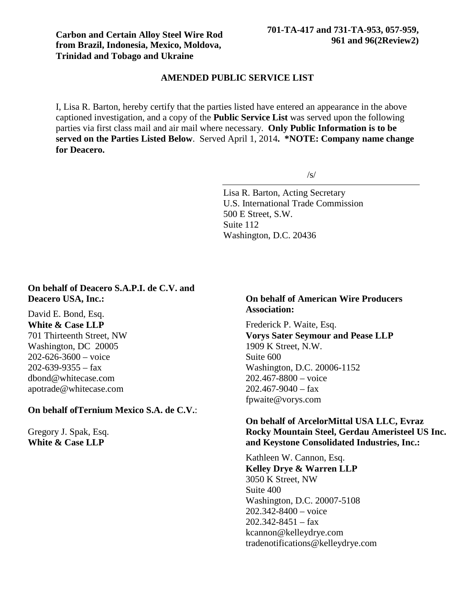### **AMENDED PUBLIC SERVICE LIST**

I, Lisa R. Barton, hereby certify that the parties listed have entered an appearance in the above captioned investigation, and a copy of the **Public Service List** was served upon the following parties via first class mail and air mail where necessary. **Only Public Information is to be served on the Parties Listed Below**. Served April 1, 2014**. \*NOTE: Company name change for Deacero.**

/s/

Lisa R. Barton, Acting Secretary U.S. International Trade Commission 500 E Street, S.W. Suite 112 Washington, D.C. 20436

# **On behalf of Deacero S.A.P.I. de C.V. and Deacero USA, Inc.:**

David E. Bond, Esq. **White & Case LLP** 701 Thirteenth Street, NW Washington, DC 20005  $202 - 626 - 3600 - \text{voice}$  $202 - 639 - 9355 - fax$ dbond@whitecase.com apotrade@whitecase.com

### **On behalf ofTernium Mexico S.A. de C.V.**:

Gregory J. Spak, Esq. **White & Case LLP**

# **On behalf of American Wire Producers Association:**

Frederick P. Waite, Esq. **Vorys Sater Seymour and Pease LLP** 1909 K Street, N.W. Suite 600 Washington, D.C. 20006-1152 202.467-8800 – voice  $202.467 - 9040 - fax$ fpwaite@vorys.com

# **On behalf of ArcelorMittal USA LLC, Evraz Rocky Mountain Steel, Gerdau Ameristeel US Inc. and Keystone Consolidated Industries, Inc.:**

Kathleen W. Cannon, Esq. **Kelley Drye & Warren LLP** 3050 K Street, NW Suite 400 Washington, D.C. 20007-5108 202.342-8400 – voice  $202.342 - 8451 - fax$ kcannon@kelleydrye.com tradenotifications@kelleydrye.com